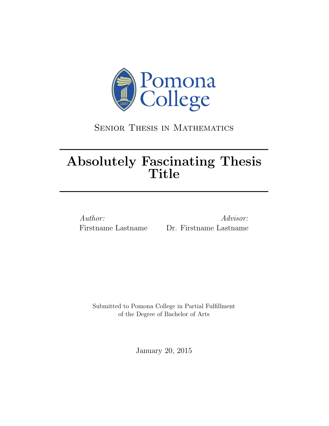

### Senior Thesis in Mathematics

# Absolutely Fascinating Thesis Title

Author: Advisor: Firstname Lastname Dr. Firstname Lastname

Submitted to Pomona College in Partial Fulfillment of the Degree of Bachelor of Arts

January 20, 2015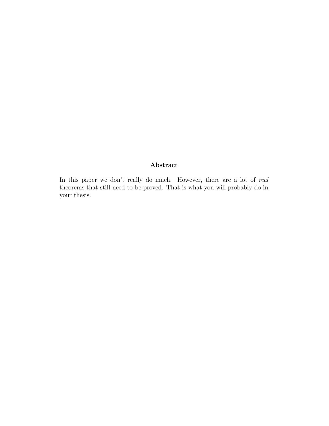#### Abstract

In this paper we don't really do much. However, there are a lot of real theorems that still need to be proved. That is what you will probably do in your thesis.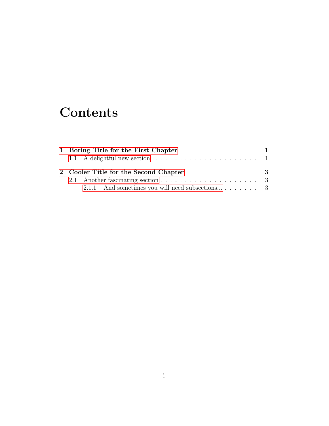## **Contents**

|  | 1 Boring Title for the First Chapter                                                       |   |
|--|--------------------------------------------------------------------------------------------|---|
|  | 1.1 A delightful new section $\dots \dots \dots \dots \dots \dots \dots \dots \dots \dots$ |   |
|  |                                                                                            |   |
|  | 2 Cooler Title for the Second Chapter                                                      | 3 |
|  |                                                                                            |   |
|  | 2.1.1 And sometimes you will need subsections 3                                            |   |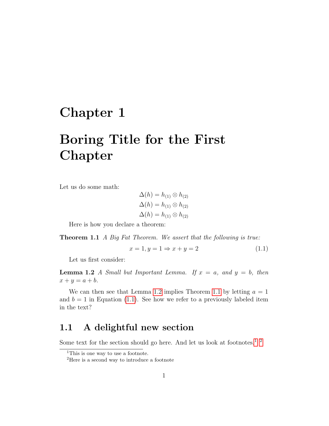### <span id="page-3-0"></span>Chapter 1

# Boring Title for the First Chapter

Let us do some math:

$$
\Delta(h) = h_{(1)} \otimes h_{(2)}
$$
  
 
$$
\Delta(h) = h_{(1)} \otimes h_{(2)}
$$
  
 
$$
\Delta(h) = h_{(1)} \otimes h_{(2)}
$$

Here is how you declare a theorem:

<span id="page-3-3"></span>**Theorem 1.1** A Big Fat Theorem. We assert that the following is true:

<span id="page-3-4"></span><span id="page-3-2"></span>
$$
x = 1, y = 1 \Rightarrow x + y = 2 \tag{1.1}
$$

Let us first consider:

**Lemma 1.2** A Small but Important Lemma. If  $x = a$ , and  $y = b$ , then  $x + y = a + b.$ 

We can then see that Lemma [1.2](#page-3-2) implies Theorem [1.1](#page-3-3) by letting  $a = 1$ and  $b = 1$  in Equation [\(1.1\)](#page-3-4). See how we refer to a previously labeled item in the text?

#### <span id="page-3-1"></span>1.1 A delightful new section

Some text for the section should go here. And let us look at footnotes.<sup>[1](#page-3-5)</sup>  $^{\rm 2}$  $^{\rm 2}$  $^{\rm 2}$ 

<span id="page-3-5"></span><sup>&</sup>lt;sup>1</sup>This is one way to use a footnote.

<span id="page-3-6"></span><sup>2</sup>Here is a second way to introduce a footnote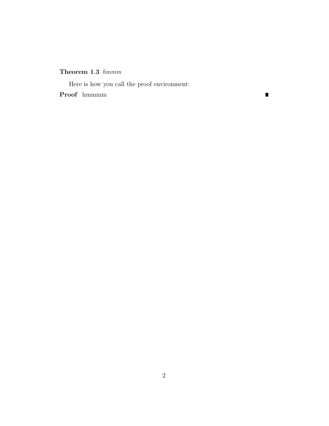#### Theorem 1.3  $hmmm$

Here is how you call the proof environment: Proof hmmmm

 $\blacksquare$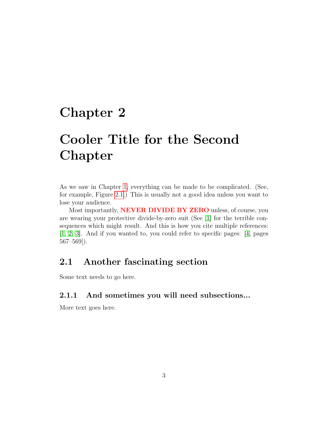### <span id="page-5-0"></span>Chapter 2

# Cooler Title for the Second Chapter

As we saw in Chapter [1,](#page-3-0) everything can be made to be complicated. (See, for example, Figure [2.1.](#page-6-0)) This is usually not a good idea unless you want to lose your audience.

Most importantly, **NEVER DIVIDE BY ZERO** unless, of course, you are wearing your protective divide-by-zero suit (See [\[1\]](#page-7-0) for the terrible consequences which might result. And this is how you cite multiple references: [\[1,](#page-7-0) [2,](#page-7-1) [3\]](#page-7-2). And if you wanted to, you could refer to specific pages: [\[4,](#page-7-3) pages 567–569]).

#### <span id="page-5-1"></span>2.1 Another fascinating section

Some text needs to go here.

#### <span id="page-5-2"></span>2.1.1 And sometimes you will need subsections...

More text goes here.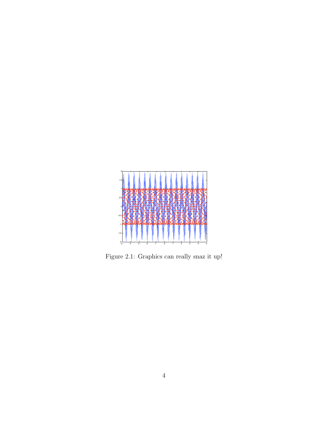

<span id="page-6-0"></span>Figure 2.1: Graphics can really snaz it up!